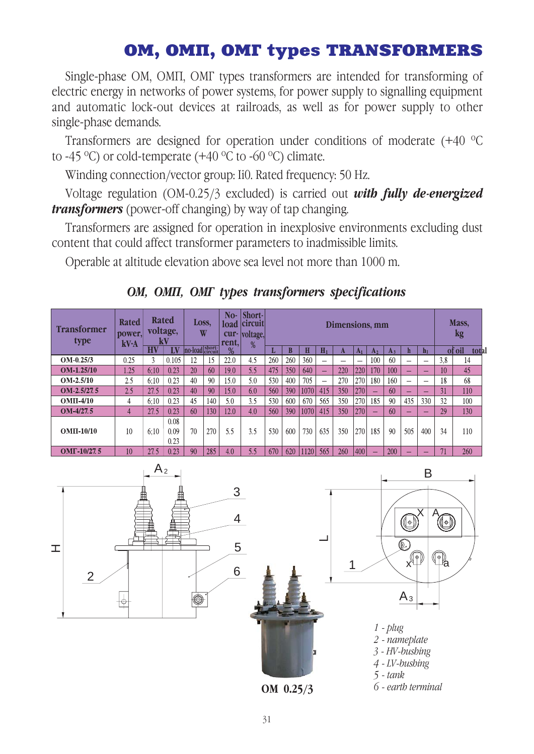## OM, OMI, OMI types TRANSFORMERS

Single-phase OM, OMI, OMI types transformers are intended for transforming of electric energy in networks of power systems, for power supply to signalling equipment and automatic lock-out devices at railroads, as well as for power supply to other single-phase demands.

Transformers are designed for operation under conditions of moderate  $(+40 \degree C)$ to -45  $^{\circ}$ C) or cold-temperate (+40  $^{\circ}$ C to -60  $^{\circ}$ C) climate.

Winding connection/vector group: Ii0. Rated frequency: 50 Hz.

Voltage regulation (OM-0.25/3 excluded) is carried out *with fully de-energized transformers* (power-off changing) by way of tap changing.

Transformers are assigned for operation in inexplosive environments excluding dust content that could affect transformer parameters to inadmissible limits.

Operable at altitude elevation above sea level not more than 1000 m.

| <b>Transformer</b><br>type | <b>Rated</b><br>power.<br>kV·A | <b>Rated</b><br>voltage,<br>ŀЛ |       | Loss,<br>W     |     | No-<br>load<br>cur-<br>rent, | Short-<br><b>circuit</b><br>voltage,<br>% | Dimensions, mm |     |      |       |     |                |                          |       |     | Mass,<br>kg              |     |                 |
|----------------------------|--------------------------------|--------------------------------|-------|----------------|-----|------------------------------|-------------------------------------------|----------------|-----|------|-------|-----|----------------|--------------------------|-------|-----|--------------------------|-----|-----------------|
|                            |                                | HV                             | W     | no-load short- |     | %                            |                                           | п.             |     | H    | $H_1$ |     | A <sub>1</sub> | A <sub>2</sub>           | $A_3$ | h   | $\mathbf{h}_1$           |     | of oil<br>total |
| $OM-0.25/3$                | 0.25                           | 3                              | 0.105 | 12             | 15  | 22.0                         | 4.5                                       | 260            | 260 | 360  |       | -   | —              | 100                      | 60    | —   | $\overline{\phantom{0}}$ | 3.8 | 14              |
| <b>OM-1.25/10</b>          | 1.25                           | 6:10                           | 0.23  | 20             | 60  | 19.0                         | 5.5                                       | 475            | 350 | 640  | -     | 220 | 220            | 170                      | 100   | -   | -                        | 10  | 45              |
| $OM-2.5/10$                | 2.5                            | 6:10                           | 0.23  | 40             | 90  | 15.0                         | 5.0                                       | 530            | 400 | 705  | —     | 270 | 270            | 180                      | 160   | —   | —                        | 18  | 68              |
| $OM-2.5/27.5$              | 2.5                            | 27.5                           | 0.23  | 40             | 90  | 15.0                         | 6.0                                       | 560            | 390 | 1070 | 415   | 350 | 270            | -                        | 60    | _   | -                        | 31  | 110             |
| $OMII-4/10$                | 4                              | 6:10                           | 0.23  | 45             | 140 | 5.0                          | 3.5                                       | 530            | 600 | 670  | 565   | 350 | 270            | 185                      | 90    | 435 | 330                      | 32  | 100             |
| $OM-4/27.5$                | 4                              | 27.5                           | 0.23  | 60             | 130 | 12.0                         | 4.0                                       | 560            | 390 | 1070 | 415   | 350 | 270            | ÷                        | 60    | ٠   | ÷                        | 29  | 130             |
|                            |                                |                                | 0.08  |                |     |                              |                                           |                |     |      |       |     |                |                          |       |     |                          |     |                 |
| $OMII-10/10$               | 10                             | 6:10                           | 0.09  | 70             | 270 | 5.5                          | 3.5                                       | 530            | 600 | 730  | 635   | 350 | 270            | 185                      | 90    | 505 | 400                      | 34  | 110             |
|                            |                                |                                | 0.23  |                |     |                              |                                           |                |     |      |       |     |                |                          |       |     |                          |     |                 |
| OMF-10/27.5                | 10                             | 27.5                           | 0.23  | 90             | 285 | 4.0                          | 5.5                                       | 670            | 620 | 1120 | 565   | 260 | 400            | $\overline{\phantom{a}}$ | 200   | _   | _                        |     | 260             |



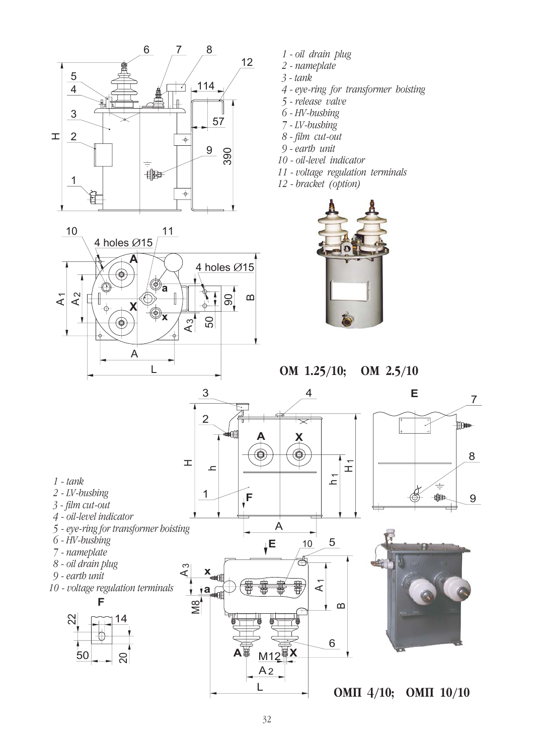



- 1 oil drain plug
- 2 nameplate
- $3 tank$
- 4 eye-ring for transformer boisting
- 5 release valve
- 6 HV-bushing
- 7 LV-bushing
- 8 film cut-out
- $9$ -earth unit
- 10 oil-level indicator
- 11 voltage regulation terminals
- 12 bracket (option)